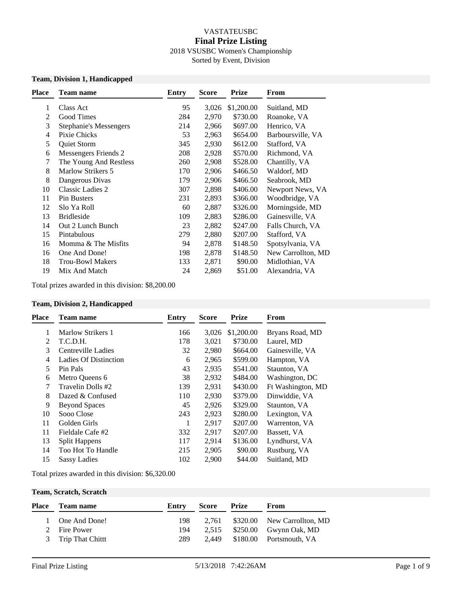#### VASTATEUSBC **Final Prize Listing** 2018 VSUSBC Women's Championship Sorted by Event, Division

#### **Team, Division 1, Handicapped**

| Place | Team name                | <b>Entry</b> | <b>Score</b> | <b>Prize</b> | From               |
|-------|--------------------------|--------------|--------------|--------------|--------------------|
| 1     | Class Act                | 95           | 3,026        | \$1,200.00   | Suitland, MD       |
| 2     | Good Times               | 284          | 2,970        | \$730.00     | Roanoke, VA        |
| 3     | Stephanie's Messengers   | 214          | 2,966        | \$697.00     | Henrico, VA        |
| 4     | Pixie Chicks             | 53           | 2,963        | \$654.00     | Barboursville, VA  |
| 5     | Quiet Storm              | 345          | 2,930        | \$612.00     | Stafford, VA       |
| 6     | Messengers Friends 2     | 208          | 2,928        | \$570.00     | Richmond, VA       |
| 7     | The Young And Restless   | 260          | 2,908        | \$528.00     | Chantilly, VA      |
| 8     | <b>Marlow Strikers 5</b> | 170          | 2,906        | \$466.50     | Waldorf, MD        |
| 8     | Dangerous Divas          | 179          | 2,906        | \$466.50     | Seabrook, MD       |
| 10    | <b>Classic Ladies 2</b>  | 307          | 2,898        | \$406.00     | Newport News, VA   |
| 11    | Pin Busters              | 231          | 2,893        | \$366.00     | Woodbridge, VA     |
| 12    | Slo Ya Roll              | 60           | 2,887        | \$326.00     | Morningside, MD    |
| 13    | <b>Bridleside</b>        | 109          | 2,883        | \$286.00     | Gainesville, VA    |
| 14    | Out 2 Lunch Bunch        | 23           | 2,882        | \$247.00     | Falls Church, VA   |
| 15    | Pintabulous              | 279          | 2,880        | \$207.00     | Stafford, VA       |
| 16    | Momma & The Misfits      | 94           | 2,878        | \$148.50     | Spotsylvania, VA   |
| 16    | One And Done!            | 198          | 2,878        | \$148.50     | New Carrollton, MD |
| 18    | <b>Trou-Bowl Makers</b>  | 133          | 2,871        | \$90.00      | Midlothian, VA     |
| 19    | Mix And Match            | 24           | 2,869        | \$51.00      | Alexandria, VA     |
|       |                          |              |              |              |                    |

Total prizes awarded in this division: \$8,200.00

#### **Team, Division 2, Handicapped**

| <b>Place</b> | <b>Team name</b>             | Entry | <b>Score</b> | <b>Prize</b> | From              |
|--------------|------------------------------|-------|--------------|--------------|-------------------|
| 1            | Marlow Strikers 1            | 166   | 3,026        | \$1,200.00   | Bryans Road, MD   |
| 2            | T.C.D.H.                     | 178   | 3,021        | \$730.00     | Laurel, MD        |
| 3            | Centreville Ladies           | 32    | 2,980        | \$664.00     | Gainesville, VA   |
| 4            | <b>Ladies Of Distinction</b> | 6     | 2,965        | \$599.00     | Hampton, VA       |
| 5            | Pin Pals                     | 43    | 2,935        | \$541.00     | Staunton, VA      |
| 6            | Metro Queens 6               | 38    | 2,932        | \$484.00     | Washington, DC    |
| 7            | Travelin Dolls #2            | 139   | 2,931        | \$430.00     | Ft Washington, MD |
| 8            | Dazed & Confused             | 110   | 2,930        | \$379.00     | Dinwiddie, VA     |
| 9            | <b>Beyond Spaces</b>         | 45    | 2,926        | \$329.00     | Staunton, VA      |
| 10           | Sooo Close                   | 243   | 2,923        | \$280.00     | Lexington, VA     |
| 11           | Golden Girls                 | 1     | 2,917        | \$207.00     | Warrenton, VA     |
| 11           | Fieldale Cafe #2             | 332   | 2,917        | \$207.00     | Bassett, VA       |
| 13           | <b>Split Happens</b>         | 117   | 2,914        | \$136.00     | Lyndhurst, VA     |
| 14           | Too Hot To Handle            | 215   | 2,905        | \$90.00      | Rustburg, VA      |
| 15           | <b>Sassy Ladies</b>          | 102   | 2,900        | \$44.00      | Suitland, MD      |
|              |                              |       |              |              |                   |

Total prizes awarded in this division: \$6,320.00

#### **Team, Scratch, Scratch**

| Place | Team name         | Entry | <b>Score Prize</b> | From                                 |
|-------|-------------------|-------|--------------------|--------------------------------------|
|       | 1 One And Done!   | 198   |                    | $2,761$ $$320.00$ New Carrollton, MD |
|       | 2 Fire Power      | 194   |                    | 2,515 \$250.00 Gwynn Oak, MD         |
|       | 3 Trip That Chitt | 289   |                    | 2,449 \$180.00 Portsmouth, VA        |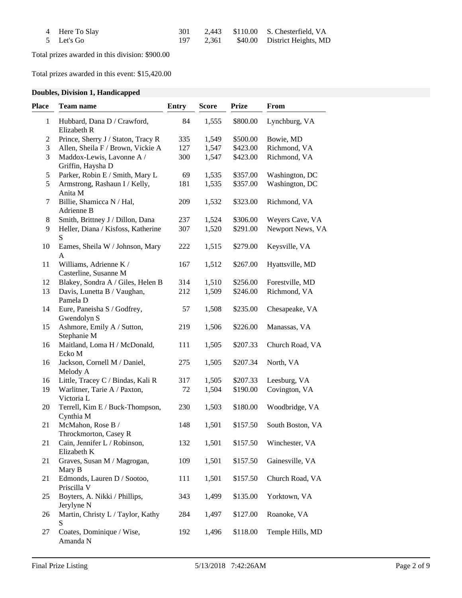| 4 Here To Slay |  | 2,443 \$110.00 S. Chesterfield, VA     |
|----------------|--|----------------------------------------|
| 5 Let's Go     |  | 197 2,361 \$40.00 District Heights, MD |

Total prizes awarded in this division: \$900.00

Total prizes awarded in this event: \$15,420.00

# **Doubles, Division 1, Handicapped**

| <b>Place</b>     | Team name                                       | <b>Entry</b> | <b>Score</b> | <b>Prize</b> | From             |
|------------------|-------------------------------------------------|--------------|--------------|--------------|------------------|
| 1                | Hubbard, Dana D / Crawford,<br>Elizabeth R      | 84           | 1,555        | \$800.00     | Lynchburg, VA    |
| $\boldsymbol{2}$ | Prince, Sherry J / Staton, Tracy R              | 335          | 1,549        | \$500.00     | Bowie, MD        |
| $\mathfrak{Z}$   | Allen, Sheila F / Brown, Vickie A               | 127          | 1,547        | \$423.00     | Richmond, VA     |
| 3                | Maddox-Lewis, Lavonne A /<br>Griffin, Haysha D  | 300          | 1,547        | \$423.00     | Richmond, VA     |
| 5                | Parker, Robin E / Smith, Mary L                 | 69           | 1,535        | \$357.00     | Washington, DC   |
| 5                | Armstrong, Rashaun I / Kelly,<br>Anita M        | 181          | 1,535        | \$357.00     | Washington, DC   |
| 7                | Billie, Shamicca N / Hal,<br>Adrienne B         | 209          | 1,532        | \$323.00     | Richmond, VA     |
| $8\,$            | Smith, Brittney J / Dillon, Dana                | 237          | 1,524        | \$306.00     | Weyers Cave, VA  |
| 9                | Heller, Diana / Kisfoss, Katherine<br>S         | 307          | 1,520        | \$291.00     | Newport News, VA |
| 10               | Eames, Sheila W / Johnson, Mary<br>A            | 222          | 1,515        | \$279.00     | Keysville, VA    |
| 11               | Williams, Adrienne K /<br>Casterline, Susanne M | 167          | 1,512        | \$267.00     | Hyattsville, MD  |
| 12               | Blakey, Sondra A / Giles, Helen B               | 314          | 1,510        | \$256.00     | Forestville, MD  |
| 13               | Davis, Lunetta B / Vaughan,<br>Pamela D         | 212          | 1,509        | \$246.00     | Richmond, VA     |
| 14               | Eure, Paneisha S / Godfrey,<br>Gwendolyn S      | 57           | 1,508        | \$235.00     | Chesapeake, VA   |
| 15               | Ashmore, Emily A / Sutton,<br>Stephanie M       | 219          | 1,506        | \$226.00     | Manassas, VA     |
| 16               | Maitland, Loma H / McDonald,<br>Ecko M          | 111          | 1,505        | \$207.33     | Church Road, VA  |
| 16               | Jackson, Cornell M / Daniel,<br>Melody A        | 275          | 1,505        | \$207.34     | North, VA        |
| 16               | Little, Tracey C / Bindas, Kali R               | 317          | 1,505        | \$207.33     | Leesburg, VA     |
| 19               | Warlitner, Tarie A / Paxton,<br>Victoria L      | 72           | 1,504        | \$190.00     | Covington, VA    |
| 20               | Terrell, Kim E / Buck-Thompson,<br>Cynthia M    | 230          | 1,503        | \$180.00     | Woodbridge, VA   |
| 21               | McMahon, Rose B /<br>Throckmorton, Casey R      | 148          | 1,501        | \$157.50     | South Boston, VA |
| 21               | Cain, Jennifer L / Robinson,<br>Elizabeth K     | 132          | 1,501        | \$157.50     | Winchester, VA   |
| 21               | Graves, Susan M / Magrogan,<br>Mary B           | 109          | 1,501        | \$157.50     | Gainesville, VA  |
| 21               | Edmonds, Lauren D / Sootoo,<br>Priscilla V      | 111          | 1,501        | \$157.50     | Church Road, VA  |
| 25               | Boyters, A. Nikki / Phillips,<br>Jerylyne N     | 343          | 1,499        | \$135.00     | Yorktown, VA     |
| 26               | Martin, Christy L / Taylor, Kathy<br>S          | 284          | 1,497        | \$127.00     | Roanoke, VA      |
| 27               | Coates, Dominique / Wise,<br>Amanda N           | 192          | 1,496        | \$118.00     | Temple Hills, MD |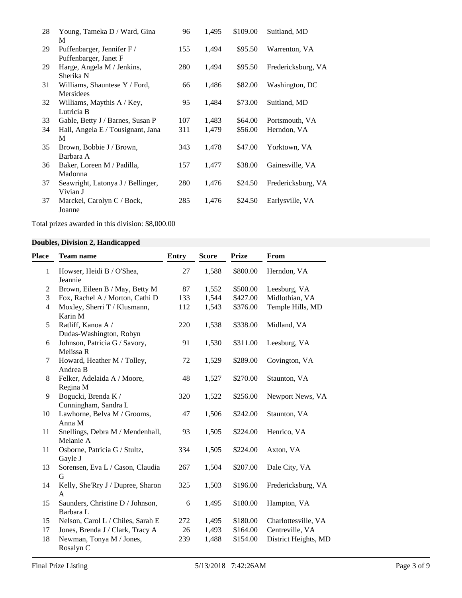| 28 | Young, Tameka D / Ward, Gina      | 96  | 1,495 | \$109.00 | Suitland, MD       |
|----|-----------------------------------|-----|-------|----------|--------------------|
|    | M                                 |     |       |          |                    |
| 29 | Puffenbarger, Jennifer F /        | 155 | 1,494 | \$95.50  | Warrenton, VA      |
|    | Puffenbarger, Janet F             |     |       |          |                    |
| 29 | Harge, Angela M / Jenkins,        | 280 | 1,494 | \$95.50  | Fredericksburg, VA |
|    | Sherika N                         |     |       |          |                    |
| 31 | Williams, Shauntese Y / Ford,     | 66  | 1,486 | \$82.00  | Washington, DC     |
|    | Mersidees                         |     |       |          |                    |
| 32 | Williams, Maythis A / Key,        | 95  | 1,484 | \$73.00  | Suitland, MD       |
|    | Lutricia B                        |     |       |          |                    |
| 33 | Gable, Betty J / Barnes, Susan P  | 107 | 1,483 | \$64.00  | Portsmouth, VA     |
| 34 | Hall, Angela E / Tousignant, Jana | 311 | 1,479 | \$56.00  | Herndon, VA        |
|    | M                                 |     |       |          |                    |
| 35 | Brown, Bobbie J / Brown,          | 343 | 1,478 | \$47.00  | Yorktown, VA       |
|    | Barbara A                         |     |       |          |                    |
| 36 | Baker, Loreen M / Padilla,        | 157 | 1,477 | \$38.00  | Gainesville, VA    |
|    | Madonna                           |     |       |          |                    |
| 37 | Seawright, Latonya J / Bellinger, | 280 | 1,476 | \$24.50  | Fredericksburg, VA |
|    | Vivian J                          |     |       |          |                    |
| 37 | Marckel, Carolyn C / Bock,        | 285 | 1,476 | \$24.50  | Earlysville, VA    |
|    | Joanne                            |     |       |          |                    |

Total prizes awarded in this division: \$8,000.00

# **Doubles, Division 2, Handicapped**

| Place          | <b>Team name</b>                              | <b>Entry</b> | <b>Score</b> | <b>Prize</b> | From                 |
|----------------|-----------------------------------------------|--------------|--------------|--------------|----------------------|
| $\mathbf{1}$   | Howser, Heidi B / O'Shea,<br>Jeannie          | 27           | 1,588        | \$800.00     | Herndon, VA          |
| $\overline{2}$ | Brown, Eileen B / May, Betty M                | 87           | 1,552        | \$500.00     | Leesburg, VA         |
| 3              | Fox, Rachel A / Morton, Cathi D               | 133          | 1,544        | \$427.00     | Midlothian, VA       |
| $\overline{4}$ | Moxley, Sherri T / Klusmann,<br>Karin M       | 112          | 1,543        | \$376.00     | Temple Hills, MD     |
| 5              | Ratliff, Kanoa A /<br>Dudas-Washington, Robyn | 220          | 1,538        | \$338.00     | Midland, VA          |
| 6              | Johnson, Patricia G / Savory,<br>Melissa R    | 91           | 1,530        | \$311.00     | Leesburg, VA         |
| 7              | Howard, Heather M / Tolley,<br>Andrea B       | 72           | 1,529        | \$289.00     | Covington, VA        |
| 8              | Felker, Adelaida A / Moore,<br>Regina M       | 48           | 1,527        | \$270.00     | Staunton, VA         |
| 9              | Bogucki, Brenda K /<br>Cunningham, Sandra L   | 320          | 1,522        | \$256.00     | Newport News, VA     |
| 10             | Lawhorne, Belva M / Grooms,<br>Anna M         | 47           | 1,506        | \$242.00     | Staunton, VA         |
| 11             | Snellings, Debra M / Mendenhall,<br>Melanie A | 93           | 1,505        | \$224.00     | Henrico, VA          |
| 11             | Osborne, Patricia G / Stultz,<br>Gayle J      | 334          | 1,505        | \$224.00     | Axton, VA            |
| 13             | Sorensen, Eva L / Cason, Claudia<br>G         | 267          | 1,504        | \$207.00     | Dale City, VA        |
| 14             | Kelly, She'Rry J / Dupree, Sharon<br>A        | 325          | 1,503        | \$196.00     | Fredericksburg, VA   |
| 15             | Saunders, Christine D / Johnson,<br>Barbara L | 6            | 1,495        | \$180.00     | Hampton, VA          |
| 15             | Nelson, Carol L / Chiles, Sarah E             | 272          | 1,495        | \$180.00     | Charlottesville, VA  |
| 17             | Jones, Brenda J / Clark, Tracy A              | 26           | 1,493        | \$164.00     | Centreville, VA      |
| 18             | Newman, Tonya M / Jones,<br>Rosalyn C         | 239          | 1,488        | \$154.00     | District Heights, MD |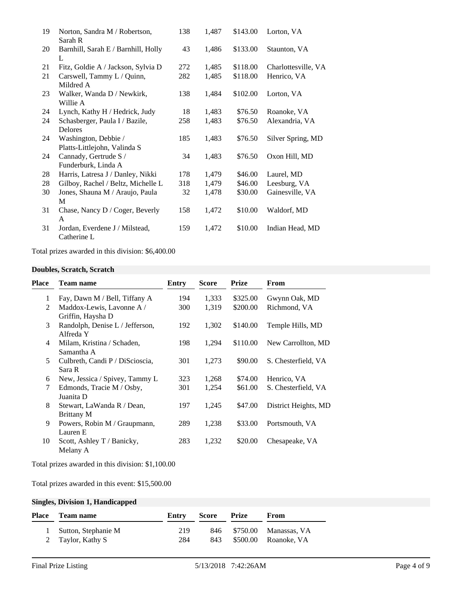| 19 | Norton, Sandra M / Robertson,<br>Sarah R      | 138 | 1,487 | \$143.00 | Lorton, VA          |
|----|-----------------------------------------------|-----|-------|----------|---------------------|
| 20 | Barnhill, Sarah E / Barnhill, Holly<br>L      | 43  | 1,486 | \$133.00 | Staunton, VA        |
| 21 | Fitz, Goldie A / Jackson, Sylvia D            | 272 | 1,485 | \$118.00 | Charlottesville, VA |
| 21 | Carswell, Tammy L / Quinn,                    | 282 | 1,485 | \$118.00 | Henrico, VA         |
|    | Mildred A                                     |     |       |          |                     |
| 23 | Walker, Wanda D / Newkirk,                    | 138 | 1,484 | \$102.00 | Lorton, VA          |
|    | Willie A                                      |     |       |          |                     |
| 24 | Lynch, Kathy H / Hedrick, Judy                | 18  | 1,483 | \$76.50  | Roanoke, VA         |
| 24 | Schasberger, Paula I / Bazile,                | 258 | 1,483 | \$76.50  | Alexandria, VA      |
|    | Delores                                       |     |       |          |                     |
| 24 | Washington, Debbie /                          | 185 | 1,483 | \$76.50  | Silver Spring, MD   |
|    | Platts-Littlejohn, Valinda S                  |     |       |          |                     |
| 24 | Cannady, Gertrude S /                         | 34  | 1,483 | \$76.50  | Oxon Hill, MD       |
|    | Funderburk, Linda A                           |     |       |          |                     |
| 28 | Harris, Latresa J / Danley, Nikki             | 178 | 1,479 | \$46.00  | Laurel, MD          |
| 28 | Gilboy, Rachel / Beltz, Michelle L            | 318 | 1,479 | \$46.00  | Leesburg, VA        |
| 30 | Jones, Shauna M / Araujo, Paula               | 32  | 1,478 | \$30.00  | Gainesville, VA     |
|    | M                                             |     |       |          |                     |
| 31 | Chase, Nancy D / Coger, Beverly               | 158 | 1,472 | \$10.00  | Waldorf, MD         |
|    | A                                             |     |       |          |                     |
| 31 | Jordan, Everdene J / Milstead,<br>Catherine L | 159 | 1,472 | \$10.00  | Indian Head, MD     |

Total prizes awarded in this division: \$6,400.00

### **Doubles, Scratch, Scratch**

| Place        | <b>Team name</b>                                | Entry | <b>Score</b> | <b>Prize</b> | From                 |
|--------------|-------------------------------------------------|-------|--------------|--------------|----------------------|
| $\mathbf{1}$ | Fay, Dawn M / Bell, Tiffany A                   | 194   | 1,333        | \$325.00     | Gwynn Oak, MD        |
| 2            | Maddox-Lewis, Lavonne A /<br>Griffin, Haysha D  | 300   | 1,319        | \$200.00     | Richmond, VA         |
| 3            | Randolph, Denise L / Jefferson,<br>Alfreda Y    | 192   | 1,302        | \$140.00     | Temple Hills, MD     |
| 4            | Milam, Kristina / Schaden,<br>Samantha A        | 198   | 1,294        | \$110.00     | New Carrollton, MD   |
| 5            | Culbreth, Candi P / DiScioscia,<br>Sara R       | 301   | 1,273        | \$90.00      | S. Chesterfield, VA  |
| 6            | New, Jessica / Spivey, Tammy L                  | 323   | 1,268        | \$74.00      | Henrico, VA          |
| 7            | Edmonds, Tracie M / Osby,<br>Juanita D          | 301   | 1,254        | \$61.00      | S. Chesterfield, VA  |
| 8            | Stewart, LaWanda R / Dean,<br><b>Brittany M</b> | 197   | 1,245        | \$47.00      | District Heights, MD |
| 9            | Powers, Robin M / Graupmann,<br>Lauren E        | 289   | 1,238        | \$33.00      | Portsmouth, VA       |
| 10           | Scott, Ashley T / Banicky,<br>Melany A          | 283   | 1,232        | \$20.00      | Chesapeake, VA       |

Total prizes awarded in this division: \$1,100.00

Total prizes awarded in this event: \$15,500.00

## **Singles, Division 1, Handicapped**

| <b>Place</b> | Team name             | Entry | Score | <b>Prize</b> | From                      |
|--------------|-----------------------|-------|-------|--------------|---------------------------|
|              | 1 Sutton, Stephanie M | 219   |       |              | 846 \$750.00 Manassas, VA |
|              | 2 Taylor, Kathy S     | 284   |       |              | 843 \$500.00 Roanoke, VA  |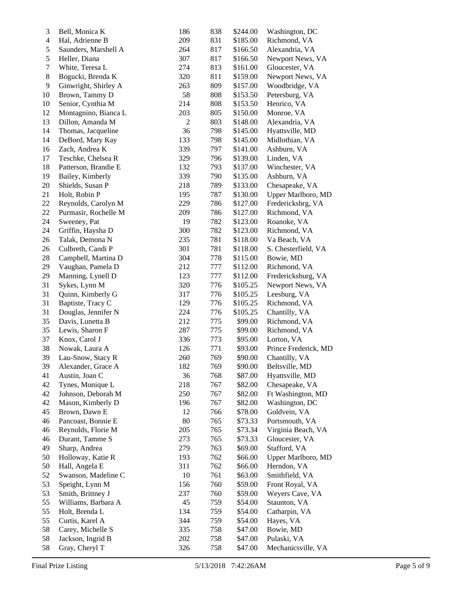| $\mathfrak{Z}$ | Bell, Monica K       | 186        | 838 | \$244.00 | Washington, DC       |
|----------------|----------------------|------------|-----|----------|----------------------|
| $\overline{4}$ | Hal, Adrienne B      | 209        | 831 | \$185.00 | Richmond, VA         |
| 5              | Saunders, Marshell A | 264        | 817 | \$166.50 | Alexandria, VA       |
| 5              | Heller, Diana        | 307        | 817 | \$166.50 | Newport News, VA     |
| $\tau$         | White, Teresa L      | 274        | 813 | \$161.00 | Gloucester, VA       |
| $8\,$          | Bogucki, Brenda K    | 320        | 811 | \$159.00 | Newport News, VA     |
| 9              | Ginwright, Shirley A | 263        | 809 | \$157.00 | Woodbridge, VA       |
| $10\,$         | Brown, Tammy D       | 58         | 808 | \$153.50 | Petersburg, VA       |
| 10             | Senior, Cynthia M    | 214        | 808 | \$153.50 | Henrico, VA          |
| 12             | Montagnino, Bianca L | 203        | 805 | \$150.00 | Monroe, VA           |
| 13             | Dillon, Amanda M     | $\sqrt{2}$ | 803 | \$148.00 | Alexandria, VA       |
| 14             | Thomas, Jacqueline   | 36         | 798 | \$145.00 | Hyattsville, MD      |
| 14             | DeBord, Mary Kay     | 133        | 798 | \$145.00 | Midlothian, VA       |
| 16             | Zach, Andrea K       | 339        | 797 | \$141.00 | Ashburn, VA          |
| 17             | Teschke, Chelsea R   | 329        | 796 | \$139.00 | Linden, VA           |
| 18             | Patterson, Brandie E | 132        | 793 | \$137.00 | Winchester, VA       |
| 19             | Bailey, Kimberly     | 339        | 790 | \$135.00 | Ashburn, VA          |
| $20\,$         | Shields, Susan P     | 218        | 789 | \$133.00 | Chesapeake, VA       |
| 21             | Holt, Robin P        | 195        | 787 | \$130.00 | Upper Marlboro, MD   |
| 22             | Reynolds, Carolyn M  | 229        | 786 | \$127.00 | Fredericksbrg, VA    |
| 22             | Purmasir, Rochelle M | 209        | 786 | \$127.00 | Richmond, VA         |
| 24             | Sweeney, Pat         | 19         | 782 | \$123.00 | Roanoke, VA          |
| 24             | Griffin, Haysha D    | 300        | 782 | \$123.00 | Richmond, VA         |
| 26             | Talak, Demona N      | 235        | 781 | \$118.00 | Va Beach, VA         |
| 26             | Culbreth, Candi P    | 301        | 781 | \$118.00 | S. Chesterfield, VA  |
| $28\,$         | Campbell, Martina D  | 304        | 778 | \$115.00 | Bowie, MD            |
| 29             | Vaughan, Pamela D    | 212        | 777 | \$112.00 | Richmond, VA         |
| 29             | Manning, Lynell D    | 123        | 777 | \$112.00 | Fredericksburg, VA   |
| 31             | Sykes, Lynn M        | 320        | 776 | \$105.25 | Newport News, VA     |
| 31             | Quinn, Kimberly G    | 317        | 776 | \$105.25 | Leesburg, VA         |
| 31             | Baptiste, Tracy C    | 129        | 776 | \$105.25 | Richmond, VA         |
| 31             | Douglas, Jennifer N  | 224        | 776 | \$105.25 | Chantilly, VA        |
| 35             | Davis, Lunetta B     | 212        | 775 | \$99.00  | Richmond, VA         |
| 35             | Lewis, Sharon F      | 287        | 775 | \$99.00  | Richmond, VA         |
| 37             | Knox, Carol J        | 336        | 773 | \$95.00  | Lorton, VA           |
| 38             | Nowak, Laura A       | 126        | 771 | \$93.00  | Prince Frederick, MD |
| 39             | Lau-Snow, Stacy R    | 260        | 769 | \$90.00  | Chantilly, VA        |
| 39             | Alexander, Grace A   | 182        | 769 | \$90.00  | Beltsville, MD       |
| 41             | Austin, Joan C       | 36         | 768 | \$87.00  | Hyattsville, MD      |
| 42             | Tynes, Monique L     | 218        | 767 | \$82.00  | Chesapeake, VA       |
| 42             | Johnson, Deborah M   | 250        | 767 | \$82.00  | Ft Washington, MD    |
| 42             | Mason, Kimberly D    | 196        | 767 | \$82.00  | Washington, DC       |
| 45             | Brown, Dawn E        | 12         | 766 | \$78.00  | Goldvein, VA         |
| 46             | Pancoast, Bonnie E   | 80         | 765 | \$73.33  | Portsmouth, VA       |
| 46             | Reynolds, Florie M   | 205        | 765 | \$73.34  | Virginia Beach, VA   |
| 46             | Durant, Tamme S      | 273        | 765 | \$73.33  | Gloucester, VA       |
| 49             | Sharp, Andrea        | 279        | 763 | \$69.00  | Stafford, VA         |
| 50             | Holloway, Katie R    | 193        | 762 | \$66.00  | Upper Marlboro, MD   |
| 50             | Hall, Angela E       | 311        | 762 | \$66.00  | Herndon, VA          |
| 52             | Swanson, Madeline C  | 10         | 761 | \$63.00  | Smithfield, VA       |
| 53             | Speight, Lynn M      | 156        | 760 | \$59.00  | Front Royal, VA      |
| 53             | Smith, Brittney J    | 237        | 760 | \$59.00  | Weyers Cave, VA      |
| 55             | Williams, Barbara A  | 45         | 759 | \$54.00  | Staunton, VA         |
| 55             | Holt, Brenda L       | 134        | 759 | \$54.00  | Catharpin, VA        |
| 55             | Curtis, Karel A      | 344        | 759 | \$54.00  | Hayes, VA            |
| 58             | Carey, Michelle S    | 335        | 758 | \$47.00  | Bowie, MD            |
| 58             | Jackson, Ingrid B    | 202        | 758 | \$47.00  | Pulaski, VA          |
| 58             | Gray, Cheryl T       | 326        | 758 | \$47.00  | Mechanicsville, VA   |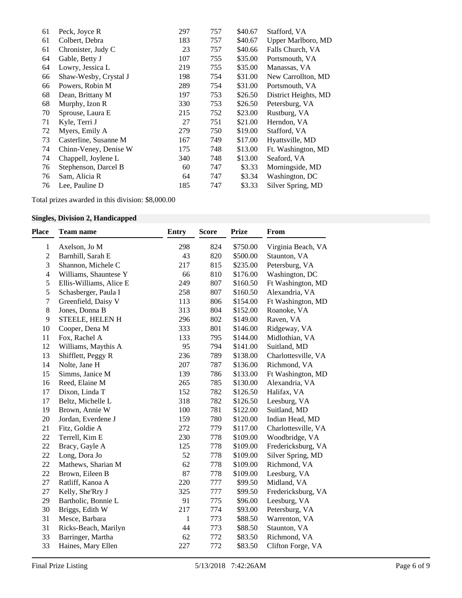| 61 | Peck, Joyce R         | 297 | 757 | \$40.67 | Stafford, VA         |
|----|-----------------------|-----|-----|---------|----------------------|
| 61 | Colbert, Debra        | 183 | 757 | \$40.67 | Upper Marlboro, MD   |
| 61 | Chronister, Judy C    | 23  | 757 | \$40.66 | Falls Church, VA     |
| 64 | Gable, Betty J        | 107 | 755 | \$35.00 | Portsmouth, VA       |
| 64 | Lowry, Jessica L      | 219 | 755 | \$35.00 | Manassas, VA         |
| 66 | Shaw-Wesby, Crystal J | 198 | 754 | \$31.00 | New Carrollton, MD   |
| 66 | Powers, Robin M       | 289 | 754 | \$31.00 | Portsmouth, VA       |
| 68 | Dean, Brittany M      | 197 | 753 | \$26.50 | District Heights, MD |
| 68 | Murphy, Izon R        | 330 | 753 | \$26.50 | Petersburg, VA       |
| 70 | Sprouse, Laura E      | 215 | 752 | \$23.00 | Rustburg, VA         |
| 71 | Kyle, Terri J         | 27  | 751 | \$21.00 | Herndon, VA          |
| 72 | Myers, Emily A        | 279 | 750 | \$19.00 | Stafford, VA         |
| 73 | Casterline, Susanne M | 167 | 749 | \$17.00 | Hyattsville, MD      |
| 74 | Chinn-Veney, Denise W | 175 | 748 | \$13.00 | Ft. Washington, MD   |
| 74 | Chappell, Joylene L   | 340 | 748 | \$13.00 | Seaford, VA          |
| 76 | Stephenson, Darcel B  | 60  | 747 | \$3.33  | Morningside, MD      |
| 76 | Sam, Alicia R         | 64  | 747 | \$3.34  | Washington, DC       |
| 76 | Lee, Pauline D        | 185 | 747 | \$3.33  | Silver Spring, MD    |
|    |                       |     |     |         |                      |

Total prizes awarded in this division: \$8,000.00

# **Singles, Division 2, Handicapped**

| Place          | <b>Team name</b>        | <b>Entry</b> | <b>Score</b> | <b>Prize</b> | From                |
|----------------|-------------------------|--------------|--------------|--------------|---------------------|
| $\mathbf{1}$   | Axelson, Jo M           | 298          | 824          | \$750.00     | Virginia Beach, VA  |
| $\sqrt{2}$     | Barnhill, Sarah E       | 43           | 820          | \$500.00     | Staunton, VA        |
| 3              | Shannon, Michele C      | 217          | 815          | \$235.00     | Petersburg, VA      |
| $\overline{4}$ | Williams, Shauntese Y   | 66           | 810          | \$176.00     | Washington, DC      |
| 5              | Ellis-Williams, Alice E | 249          | 807          | \$160.50     | Ft Washington, MD   |
| 5              | Schasberger, Paula I    | 258          | 807          | \$160.50     | Alexandria, VA      |
| $\tau$         | Greenfield, Daisy V     | 113          | 806          | \$154.00     | Ft Washington, MD   |
| $8\,$          | Jones, Donna B          | 313          | 804          | \$152.00     | Roanoke, VA         |
| 9              | STEELE, HELEN H         | 296          | 802          | \$149.00     | Raven, VA           |
| 10             | Cooper, Dena M          | 333          | 801          | \$146.00     | Ridgeway, VA        |
| 11             | Fox, Rachel A           | 133          | 795          | \$144.00     | Midlothian, VA      |
| 12             | Williams, Maythis A     | 95           | 794          | \$141.00     | Suitland, MD        |
| 13             | Shifflett, Peggy R      | 236          | 789          | \$138.00     | Charlottesville, VA |
| 14             | Nolte, Jane H           | 207          | 787          | \$136.00     | Richmond, VA        |
| 15             | Simms, Janice M         | 139          | 786          | \$133.00     | Ft Washington, MD   |
| 16             | Reed, Elaine M          | 265          | 785          | \$130.00     | Alexandria, VA      |
| 17             | Dixon, Linda T          | 152          | 782          | \$126.50     | Halifax, VA         |
| 17             | Beltz, Michelle L       | 318          | 782          | \$126.50     | Leesburg, VA        |
| 19             | Brown, Annie W          | 100          | 781          | \$122.00     | Suitland, MD        |
| 20             | Jordan, Everdene J      | 159          | 780          | \$120.00     | Indian Head, MD     |
| 21             | Fitz, Goldie A          | 272          | 779          | \$117.00     | Charlottesville, VA |
| 22             | Terrell, Kim E          | 230          | 778          | \$109.00     | Woodbridge, VA      |
| 22             | Bracy, Gayle A          | 125          | 778          | \$109.00     | Fredericksburg, VA  |
| 22             | Long, Dora Jo           | 52           | 778          | \$109.00     | Silver Spring, MD   |
| 22             | Mathews, Sharian M      | 62           | 778          | \$109.00     | Richmond, VA        |
| 22             | Brown, Eileen B         | 87           | 778          | \$109.00     | Leesburg, VA        |
| 27             | Ratliff, Kanoa A        | 220          | 777          | \$99.50      | Midland, VA         |
| 27             | Kelly, She'Rry J        | 325          | 777          | \$99.50      | Fredericksburg, VA  |
| 29             | Bartholic, Bonnie L     | 91           | 775          | \$96.00      | Leesburg, VA        |
| 30             | Briggs, Edith W         | 217          | 774          | \$93.00      | Petersburg, VA      |
| 31             | Mesce, Barbara          | $\mathbf{1}$ | 773          | \$88.50      | Warrenton, VA       |
| 31             | Ricks-Beach, Marilyn    | 44           | 773          | \$88.50      | Staunton, VA        |
| 33             | Barringer, Martha       | 62           | 772          | \$83.50      | Richmond, VA        |
| 33             | Haines, Mary Ellen      | 227          | 772          | \$83.50      | Clifton Forge, VA   |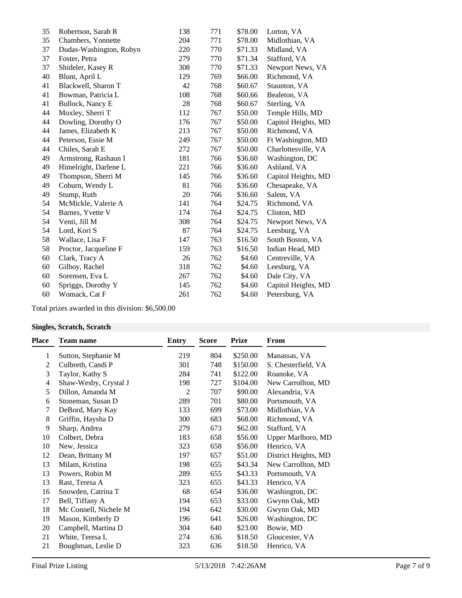| 35 | Robertson, Sarah R      | 138 | 771 | \$78.00 | Lorton, VA          |
|----|-------------------------|-----|-----|---------|---------------------|
| 35 | Chambers, Yonnette      | 204 | 771 | \$78.00 | Midlothian, VA      |
| 37 | Dudas-Washington, Robyn | 220 | 770 | \$71.33 | Midland, VA         |
| 37 | Foster, Petra           | 279 | 770 | \$71.34 | Stafford, VA        |
| 37 | Shideler, Kasey R       | 308 | 770 | \$71.33 | Newport News, VA    |
| 40 | Blunt, April L          | 129 | 769 | \$66.00 | Richmond, VA        |
| 41 | Blackwell, Sharon T     | 42  | 768 | \$60.67 | Staunton, VA        |
| 41 | Bowman, Patricia L      | 108 | 768 | \$60.66 | Bealeton, VA        |
| 41 | Bullock, Nancy E        | 28  | 768 | \$60.67 | Sterling, VA        |
| 44 | Moxley, Sherri T        | 112 | 767 | \$50.00 | Temple Hills, MD    |
| 44 | Dowling, Dorothy O      | 176 | 767 | \$50.00 | Capitol Heights, MD |
| 44 | James, Elizabeth K      | 213 | 767 | \$50.00 | Richmond, VA        |
| 44 | Peterson, Essie M       | 249 | 767 | \$50.00 | Ft Washington, MD   |
| 44 | Chiles, Sarah E         | 272 | 767 | \$50.00 | Charlottesville, VA |
| 49 | Armstrong, Rashaun I    | 181 | 766 | \$36.60 | Washington, DC      |
| 49 | Himelright, Darlene L   | 221 | 766 | \$36.60 | Ashland, VA         |
| 49 | Thompson, Sherri M      | 145 | 766 | \$36.60 | Capitol Heights, MD |
| 49 | Coburn, Wendy L         | 81  | 766 | \$36.60 | Chesapeake, VA      |
| 49 | Stump, Ruth             | 20  | 766 | \$36.60 | Salem, VA           |
| 54 | McMickle, Valerie A     | 141 | 764 | \$24.75 | Richmond, VA        |
| 54 | Barnes, Yvette V        | 174 | 764 | \$24.75 | Clinton, MD         |
| 54 | Venti, Jill M           | 308 | 764 | \$24.75 | Newport News, VA    |
| 54 | Lord, Kori S            | 87  | 764 | \$24.75 | Leesburg, VA        |
| 58 | Wallace, Lisa F         | 147 | 763 | \$16.50 | South Boston, VA    |
| 58 | Proctor, Jacqueline F   | 159 | 763 | \$16.50 | Indian Head, MD     |
| 60 | Clark, Tracy A          | 26  | 762 | \$4.60  | Centreville, VA     |
| 60 | Gilboy, Rachel          | 318 | 762 | \$4.60  | Leesburg, VA        |
| 60 | Sorensen, Eva L         | 267 | 762 | \$4.60  | Dale City, VA       |
| 60 | Spriggs, Dorothy Y      | 145 | 762 | \$4.60  | Capitol Heights, MD |
| 60 | Womack, Cat F           | 261 | 762 | \$4.60  | Petersburg, VA      |
|    |                         |     |     |         |                     |

Total prizes awarded in this division: \$6,500.00

# **Singles, Scratch, Scratch**

| Place | <b>Team name</b>      | Entry | <b>Score</b> | <b>Prize</b> | From                 |
|-------|-----------------------|-------|--------------|--------------|----------------------|
| 1     | Sutton, Stephanie M   | 219   | 804          | \$250.00     | Manassas, VA         |
| 2     | Culbreth, Candi P     | 301   | 748          | \$150.00     | S. Chesterfield, VA  |
| 3     | Taylor, Kathy S       | 284   | 741          | \$122.00     | Roanoke, VA          |
| 4     | Shaw-Wesby, Crystal J | 198   | 727          | \$104.00     | New Carrollton, MD   |
| 5     | Dillon, Amanda M      | 2     | 707          | \$90.00      | Alexandria, VA       |
| 6     | Stoneman, Susan D     | 289   | 701          | \$80.00      | Portsmouth, VA       |
| 7     | DeBord, Mary Kay      | 133   | 699          | \$73.00      | Midlothian, VA       |
| 8     | Griffin, Haysha D     | 300   | 683          | \$68.00      | Richmond, VA         |
| 9     | Sharp, Andrea         | 279   | 673          | \$62.00      | Stafford, VA         |
| 10    | Colbert, Debra        | 183   | 658          | \$56.00      | Upper Marlboro, MD   |
| 10    | New, Jessica          | 323   | 658          | \$56.00      | Henrico, VA          |
| 12    | Dean, Brittany M      | 197   | 657          | \$51.00      | District Heights, MD |
| 13    | Milam, Kristina       | 198   | 655          | \$43.34      | New Carrollton, MD   |
| 13    | Powers, Robin M       | 289   | 655          | \$43.33      | Portsmouth, VA       |
| 13    | Rast, Teresa A        | 323   | 655          | \$43.33      | Henrico, VA          |
| 16    | Snowden, Catrina T    | 68    | 654          | \$36.00      | Washington, DC       |
| 17    | Bell, Tiffany A       | 194   | 653          | \$33.00      | Gwynn Oak, MD        |
| 18    | Mc Connell, Nichele M | 194   | 642          | \$30.00      | Gwynn Oak, MD        |
| 19    | Mason, Kimberly D     | 196   | 641          | \$26.00      | Washington, DC       |
| 20    | Campbell, Martina D   | 304   | 640          | \$23.00      | Bowie, MD            |
| 21    | White, Teresa L       | 274   | 636          | \$18.50      | Gloucester, VA       |
| 21    | Boughman, Leslie D    | 323   | 636          | \$18.50      | Henrico, VA          |
|       |                       |       |              |              |                      |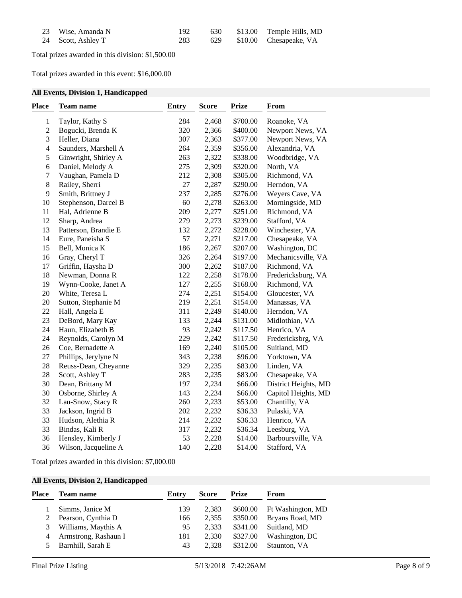| 23 Wise, Amanda N  | 192 |  | 630 \$13.00 Temple Hills, MD |
|--------------------|-----|--|------------------------------|
| 24 Scott, Ashley T | 283 |  | 629 \$10.00 Chesapeake, VA   |

Total prizes awarded in this division: \$1,500.00

Total prizes awarded in this event: \$16,000.00

## **All Events, Division 1, Handicapped**

| Place                    | Team name            | <b>Entry</b> | <b>Score</b> | <b>Prize</b> | From                 |
|--------------------------|----------------------|--------------|--------------|--------------|----------------------|
| $\,1$                    | Taylor, Kathy S      | 284          | 2,468        | \$700.00     | Roanoke, VA          |
| $\overline{c}$           | Bogucki, Brenda K    | 320          | 2,366        | \$400.00     | Newport News, VA     |
| 3                        | Heller, Diana        | 307          | 2,363        | \$377.00     | Newport News, VA     |
| $\overline{\mathcal{L}}$ | Saunders, Marshell A | 264          | 2,359        | \$356.00     | Alexandria, VA       |
| 5                        | Ginwright, Shirley A | 263          | 2,322        | \$338.00     | Woodbridge, VA       |
| 6                        | Daniel, Melody A     | 275          | 2,309        | \$320.00     | North, VA            |
| $\boldsymbol{7}$         | Vaughan, Pamela D    | 212          | 2,308        | \$305.00     | Richmond, VA         |
| 8                        | Railey, Sherri       | $27\,$       | 2,287        | \$290.00     | Herndon, VA          |
| 9                        | Smith, Brittney J    | 237          | 2,285        | \$276.00     | Weyers Cave, VA      |
| 10                       | Stephenson, Darcel B | 60           | 2,278        | \$263.00     | Morningside, MD      |
| 11                       | Hal, Adrienne B      | 209          | 2,277        | \$251.00     | Richmond, VA         |
| 12                       | Sharp, Andrea        | 279          | 2,273        | \$239.00     | Stafford, VA         |
| 13                       | Patterson, Brandie E | 132          | 2,272        | \$228.00     | Winchester, VA       |
| 14                       | Eure, Paneisha S     | 57           | 2,271        | \$217.00     | Chesapeake, VA       |
| 15                       | Bell, Monica K       | 186          | 2,267        | \$207.00     | Washington, DC       |
| 16                       | Gray, Cheryl T       | 326          | 2,264        | \$197.00     | Mechanicsville, VA   |
| 17                       | Griffin, Haysha D    | 300          | 2,262        | \$187.00     | Richmond, VA         |
| 18                       | Newman, Donna R      | 122          | 2,258        | \$178.00     | Fredericksburg, VA   |
| 19                       | Wynn-Cooke, Janet A  | 127          | 2,255        | \$168.00     | Richmond, VA         |
| 20                       | White, Teresa L      | 274          | 2,251        | \$154.00     | Gloucester, VA       |
| 20                       | Sutton, Stephanie M  | 219          | 2,251        | \$154.00     | Manassas, VA         |
| 22                       | Hall, Angela E       | 311          | 2,249        | \$140.00     | Herndon, VA          |
| 23                       | DeBord, Mary Kay     | 133          | 2,244        | \$131.00     | Midlothian, VA       |
| 24                       | Haun, Elizabeth B    | 93           | 2,242        | \$117.50     | Henrico, VA          |
| 24                       | Reynolds, Carolyn M  | 229          | 2,242        | \$117.50     | Fredericksbrg, VA    |
| 26                       | Coe, Bernadette A    | 169          | 2,240        | \$105.00     | Suitland, MD         |
| 27                       | Phillips, Jerylyne N | 343          | 2,238        | \$96.00      | Yorktown, VA         |
| 28                       | Reuss-Dean, Cheyanne | 329          | 2,235        | \$83.00      | Linden, VA           |
| $28\,$                   | Scott, Ashley T      | 283          | 2,235        | \$83.00      | Chesapeake, VA       |
| 30                       | Dean, Brittany M     | 197          | 2,234        | \$66.00      | District Heights, MD |
| 30                       | Osborne, Shirley A   | 143          | 2,234        | \$66.00      | Capitol Heights, MD  |
| 32                       | Lau-Snow, Stacy R    | 260          | 2,233        | \$53.00      | Chantilly, VA        |
| 33                       | Jackson, Ingrid B    | 202          | 2,232        | \$36.33      | Pulaski, VA          |
| 33                       | Hudson, Alethia R    | 214          | 2,232        | \$36.33      | Henrico, VA          |
| 33                       | Bindas, Kali R       | 317          | 2,232        | \$36.34      | Leesburg, VA         |
| 36                       | Hensley, Kimberly J  | 53           | 2,228        | \$14.00      | Barboursville, VA    |
| 36                       | Wilson, Jacqueline A | 140          | 2,228        | \$14.00      | Stafford, VA         |

Total prizes awarded in this division: \$7,000.00

## **All Events, Division 2, Handicapped**

| Place | <b>Team name</b>     | Entry | <b>Score</b> | <b>Prize</b> | From              |
|-------|----------------------|-------|--------------|--------------|-------------------|
|       | Simms, Janice M      | 139   | 2.383        | \$600.00     | Ft Washington, MD |
|       | Pearson, Cynthia D   | 166   | 2.355        | \$350.00     | Bryans Road, MD   |
| 3     | Williams, Maythis A  | 95    | 2.333        | \$341.00     | Suitland, MD      |
| 4     | Armstrong, Rashaun I | 181   | 2.330        | \$327.00     | Washington, DC    |
|       | Barnhill, Sarah E    | 43    | 2.328        | \$312.00     | Staunton, VA      |